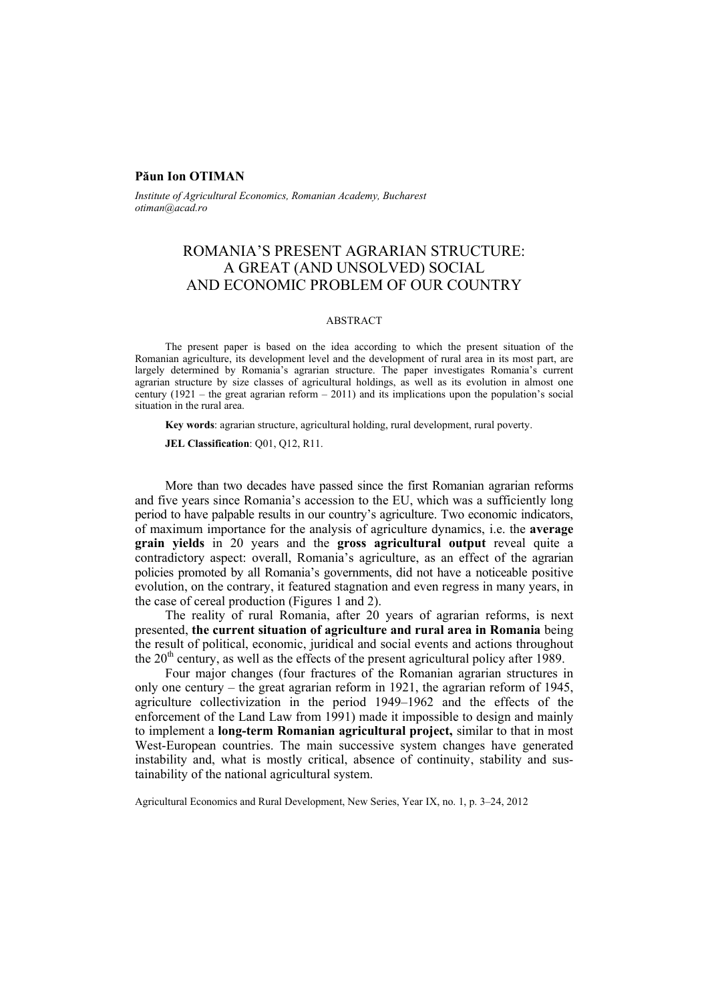## **Păun Ion OTIMAN**

*Institute of Agricultural Economics, Romanian Academy, Bucharest otiman@acad.ro* 

# ROMANIA'S PRESENT AGRARIAN STRUCTURE: A GREAT (AND UNSOLVED) SOCIAL AND ECONOMIC PROBLEM OF OUR COUNTRY

#### ABSTRACT

The present paper is based on the idea according to which the present situation of the Romanian agriculture, its development level and the development of rural area in its most part, are largely determined by Romania's agrarian structure. The paper investigates Romania's current agrarian structure by size classes of agricultural holdings, as well as its evolution in almost one century  $(1921 -$  the great agrarian reform  $- 2011$ ) and its implications upon the population's social situation in the rural area.

**Key words**: agrarian structure, agricultural holding, rural development, rural poverty.

**JEL Classification**: Q01, Q12, R11.

More than two decades have passed since the first Romanian agrarian reforms and five years since Romania's accession to the EU, which was a sufficiently long period to have palpable results in our country's agriculture. Two economic indicators, of maximum importance for the analysis of agriculture dynamics, i.e. the **average grain yields** in 20 years and the **gross agricultural output** reveal quite a contradictory aspect: overall, Romania's agriculture, as an effect of the agrarian policies promoted by all Romania's governments, did not have a noticeable positive evolution, on the contrary, it featured stagnation and even regress in many years, in the case of cereal production (Figures 1 and 2).

The reality of rural Romania, after 20 years of agrarian reforms, is next presented, **the current situation of agriculture and rural area in Romania** being the result of political, economic, juridical and social events and actions throughout the  $20<sup>th</sup>$  century, as well as the effects of the present agricultural policy after 1989.

Four major changes (four fractures of the Romanian agrarian structures in only one century – the great agrarian reform in 1921, the agrarian reform of 1945, agriculture collectivization in the period 1949–1962 and the effects of the enforcement of the Land Law from 1991) made it impossible to design and mainly to implement a **long-term Romanian agricultural project,** similar to that in most West-European countries. The main successive system changes have generated instability and, what is mostly critical, absence of continuity, stability and sustainability of the national agricultural system.

Agricultural Economics and Rural Development, New Series, Year IX, no. 1, p. 3–24, 2012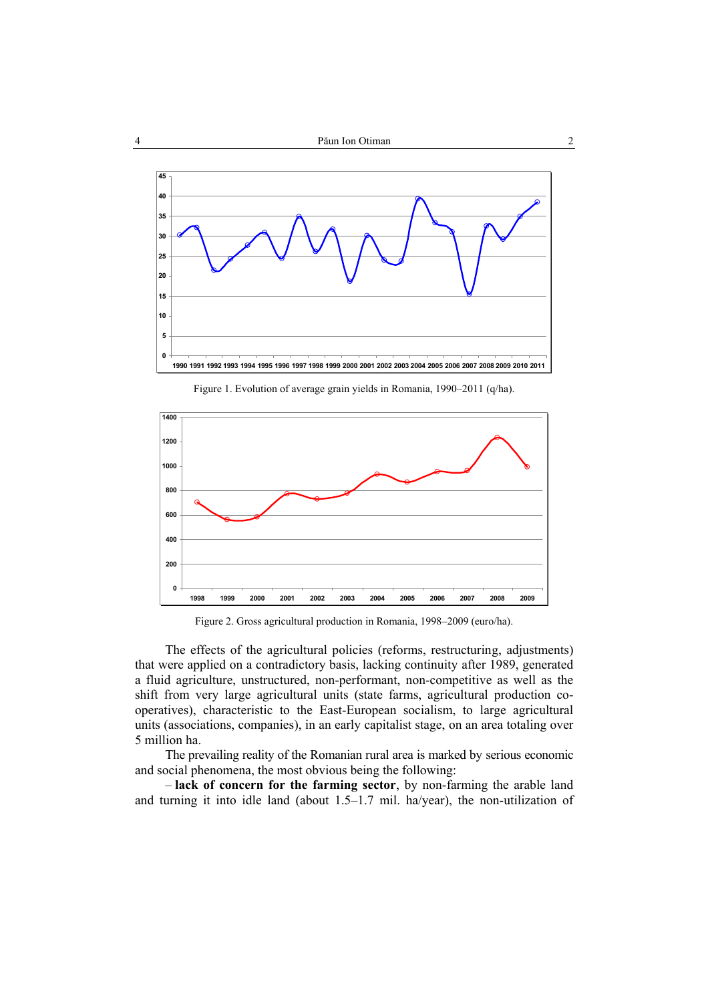

Figure 1. Evolution of average grain yields in Romania, 1990–2011 (q/ha).



Figure 2. Gross agricultural production in Romania, 1998–2009 (euro/ha).

The effects of the agricultural policies (reforms, restructuring, adjustments) that were applied on a contradictory basis, lacking continuity after 1989, generated a fluid agriculture, unstructured, non-performant, non-competitive as well as the shift from very large agricultural units (state farms, agricultural production cooperatives), characteristic to the East-European socialism, to large agricultural units (associations, companies), in an early capitalist stage, on an area totaling over 5 million ha.

The prevailing reality of the Romanian rural area is marked by serious economic and social phenomena, the most obvious being the following:

– **lack of concern for the farming sector**, by non-farming the arable land and turning it into idle land (about  $1.5-1.7$  mil. ha/year), the non-utilization of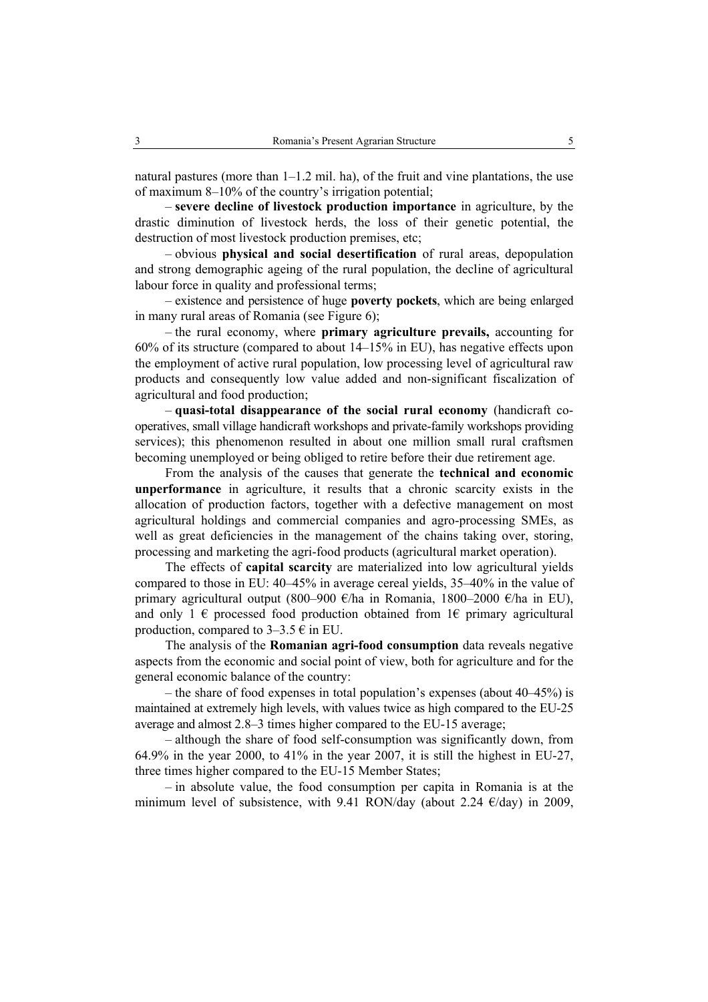natural pastures (more than 1–1.2 mil. ha), of the fruit and vine plantations, the use of maximum 8–10% of the country's irrigation potential;

– **severe decline of livestock production importance** in agriculture, by the drastic diminution of livestock herds, the loss of their genetic potential, the destruction of most livestock production premises, etc;

– obvious **physical and social desertification** of rural areas, depopulation and strong demographic ageing of the rural population, the decline of agricultural labour force in quality and professional terms;

– existence and persistence of huge **poverty pockets**, which are being enlarged in many rural areas of Romania (see Figure 6);

– the rural economy, where **primary agriculture prevails,** accounting for 60% of its structure (compared to about 14–15% in EU), has negative effects upon the employment of active rural population, low processing level of agricultural raw products and consequently low value added and non-significant fiscalization of agricultural and food production;

– **quasi-total disappearance of the social rural economy** (handicraft cooperatives, small village handicraft workshops and private-family workshops providing services); this phenomenon resulted in about one million small rural craftsmen becoming unemployed or being obliged to retire before their due retirement age.

From the analysis of the causes that generate the **technical and economic unperformance** in agriculture, it results that a chronic scarcity exists in the allocation of production factors, together with a defective management on most agricultural holdings and commercial companies and agro-processing SMEs, as well as great deficiencies in the management of the chains taking over, storing, processing and marketing the agri-food products (agricultural market operation).

The effects of **capital scarcity** are materialized into low agricultural yields compared to those in EU: 40–45% in average cereal yields, 35–40% in the value of primary agricultural output (800–900 €/ha in Romania, 1800–2000 €/ha in EU), and only 1  $\epsilon$  processed food production obtained from 1 $\epsilon$  primary agricultural production, compared to  $3-3.5 \in \text{in EU}$ .

The analysis of the **Romanian agri-food consumption** data reveals negative aspects from the economic and social point of view, both for agriculture and for the general economic balance of the country:

– the share of food expenses in total population's expenses (about 40–45%) is maintained at extremely high levels, with values twice as high compared to the EU-25 average and almost 2.8–3 times higher compared to the EU-15 average;

– although the share of food self-consumption was significantly down, from 64.9% in the year 2000, to 41% in the year 2007, it is still the highest in EU-27, three times higher compared to the EU-15 Member States;

– in absolute value, the food consumption per capita in Romania is at the minimum level of subsistence, with 9.41 RON/day (about 2.24  $\epsilon$ /day) in 2009,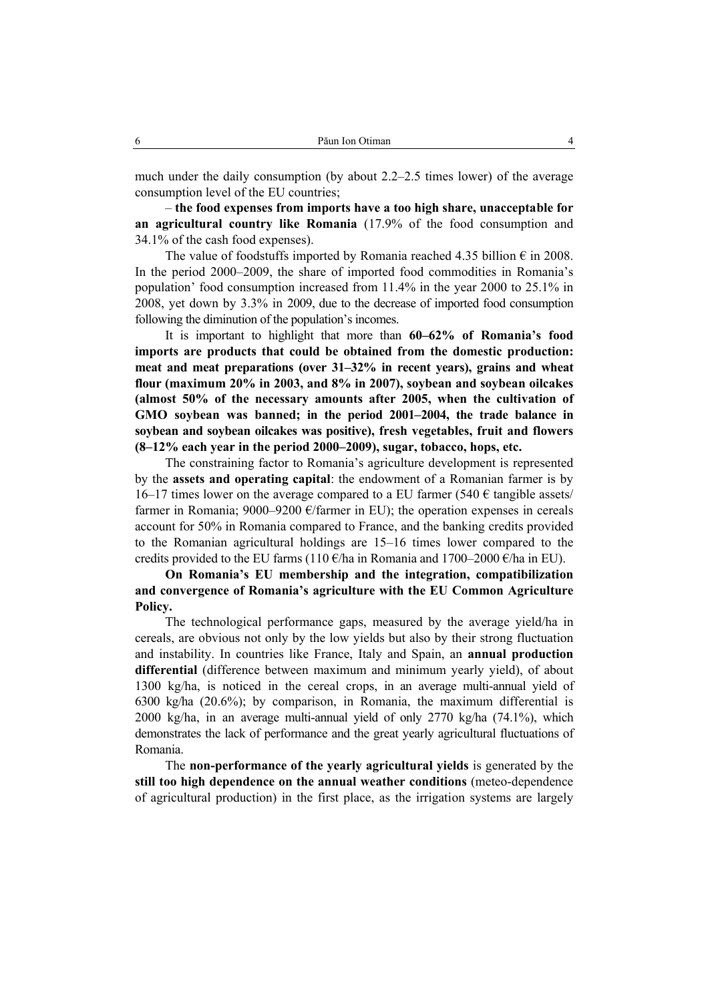much under the daily consumption (by about 2.2–2.5 times lower) of the average consumption level of the EU countries;

– **the food expenses from imports have a too high share, unacceptable for an agricultural country like Romania** (17.9% of the food consumption and 34.1% of the cash food expenses).

The value of foodstuffs imported by Romania reached 4.35 billion  $\epsilon$  in 2008. In the period 2000–2009, the share of imported food commodities in Romania's population' food consumption increased from 11.4% in the year 2000 to 25.1% in 2008, yet down by 3.3% in 2009, due to the decrease of imported food consumption following the diminution of the population's incomes.

It is important to highlight that more than **60–62% of Romania's food imports are products that could be obtained from the domestic production: meat and meat preparations (over 31–32% in recent years), grains and wheat flour (maximum 20% in 2003, and 8% in 2007), soybean and soybean oilcakes (almost 50% of the necessary amounts after 2005, when the cultivation of GMO soybean was banned; in the period 2001–2004, the trade balance in soybean and soybean oilcakes was positive), fresh vegetables, fruit and flowers (8–12% each year in the period 2000–2009), sugar, tobacco, hops, etc.**

The constraining factor to Romania's agriculture development is represented by the **assets and operating capital**: the endowment of a Romanian farmer is by 16–17 times lower on the average compared to a EU farmer (540  $\epsilon$  tangible assets/ farmer in Romania; 9000–9200  $\epsilon$ /farmer in EU); the operation expenses in cereals account for 50% in Romania compared to France, and the banking credits provided to the Romanian agricultural holdings are 15–16 times lower compared to the credits provided to the EU farms (110  $\varepsilon$ /ha in Romania and 1700–2000  $\varepsilon$ /ha in EU).

**On Romania's EU membership and the integration, compatibilization and convergence of Romania's agriculture with the EU Common Agriculture Policy.** 

The technological performance gaps, measured by the average yield/ha in cereals, are obvious not only by the low yields but also by their strong fluctuation and instability. In countries like France, Italy and Spain, an **annual production differential** (difference between maximum and minimum yearly yield), of about 1300 kg/ha, is noticed in the cereal crops, in an average multi-annual yield of 6300 kg/ha (20.6%); by comparison, in Romania, the maximum differential is 2000 kg/ha, in an average multi-annual yield of only 2770 kg/ha (74.1%), which demonstrates the lack of performance and the great yearly agricultural fluctuations of Romania.

The **non-performance of the yearly agricultural yields** is generated by the **still too high dependence on the annual weather conditions** (meteo-dependence of agricultural production) in the first place, as the irrigation systems are largely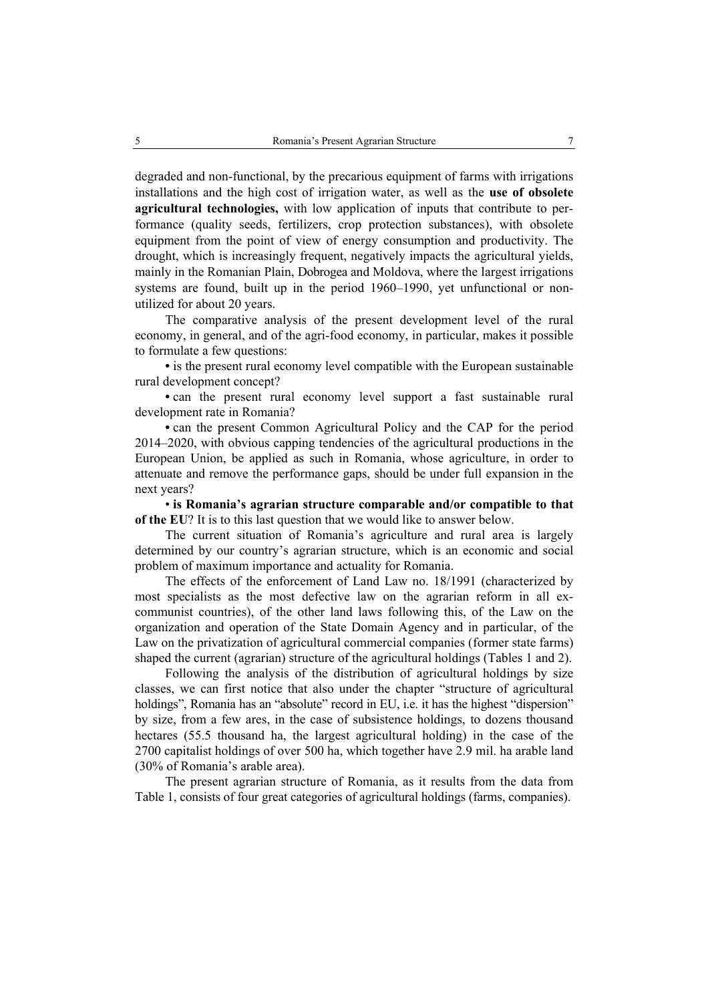degraded and non-functional, by the precarious equipment of farms with irrigations installations and the high cost of irrigation water, as well as the **use of obsolete agricultural technologies,** with low application of inputs that contribute to performance (quality seeds, fertilizers, crop protection substances), with obsolete equipment from the point of view of energy consumption and productivity. The drought, which is increasingly frequent, negatively impacts the agricultural yields, mainly in the Romanian Plain, Dobrogea and Moldova, where the largest irrigations systems are found, built up in the period 1960–1990, yet unfunctional or nonutilized for about 20 years.

The comparative analysis of the present development level of the rural economy, in general, and of the agri-food economy, in particular, makes it possible to formulate a few questions:

**•** is the present rural economy level compatible with the European sustainable rural development concept?

**•** can the present rural economy level support a fast sustainable rural development rate in Romania?

**•** can the present Common Agricultural Policy and the CAP for the period 2014–2020, with obvious capping tendencies of the agricultural productions in the European Union, be applied as such in Romania, whose agriculture, in order to attenuate and remove the performance gaps, should be under full expansion in the next years?

• **is Romania's agrarian structure comparable and/or compatible to that of the EU**? It is to this last question that we would like to answer below.

The current situation of Romania's agriculture and rural area is largely determined by our country's agrarian structure, which is an economic and social problem of maximum importance and actuality for Romania.

The effects of the enforcement of Land Law no. 18/1991 (characterized by most specialists as the most defective law on the agrarian reform in all excommunist countries), of the other land laws following this, of the Law on the organization and operation of the State Domain Agency and in particular, of the Law on the privatization of agricultural commercial companies (former state farms) shaped the current (agrarian) structure of the agricultural holdings (Tables 1 and 2).

Following the analysis of the distribution of agricultural holdings by size classes, we can first notice that also under the chapter "structure of agricultural holdings", Romania has an "absolute" record in EU, i.e. it has the highest "dispersion" by size, from a few ares, in the case of subsistence holdings, to dozens thousand hectares (55.5 thousand ha, the largest agricultural holding) in the case of the 2700 capitalist holdings of over 500 ha, which together have 2.9 mil. ha arable land (30% of Romania's arable area).

The present agrarian structure of Romania, as it results from the data from Table 1, consists of four great categories of agricultural holdings (farms, companies).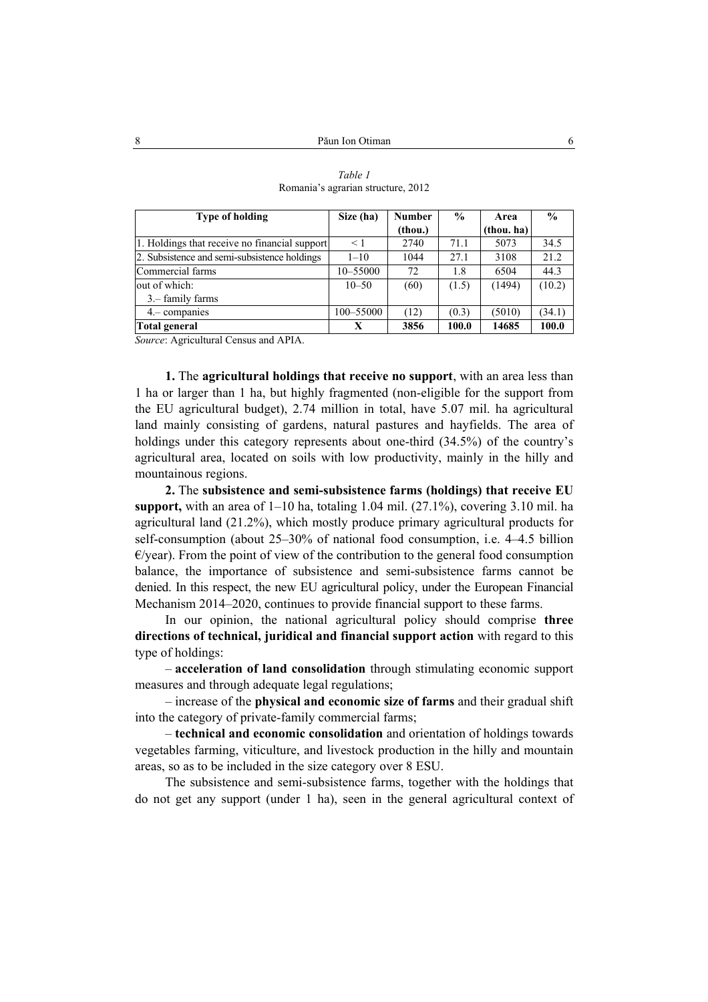| <b>Type of holding</b>                        | Size (ha) | <b>Number</b> | $\frac{6}{9}$ | Area       | $\frac{0}{0}$ |
|-----------------------------------------------|-----------|---------------|---------------|------------|---------------|
|                                               |           | (hou.)        |               | (thou. ha) |               |
| 1. Holdings that receive no financial support | $\leq$ 1  | 2740          | 71.1          | 5073       | 34.5          |
| 2. Subsistence and semi-subsistence holdings  | $1 - 10$  | 1044          | 27.1          | 3108       | 21.2          |
| Commercial farms                              | 10-55000  | 72            | 1.8           | 6504       | 44.3          |
| out of which:                                 | $10 - 50$ | (60)          | (1.5)         | (1494)     | (10.2)        |
| 3. - family farms                             |           |               |               |            |               |
| $4 -$ companies                               | 100-55000 | (12)          | (0.3)         | (5010)     | (34.1)        |
| <b>Total general</b>                          | x         | 3856          | 100.0         | 14685      | 100.0         |

| Table 1                            |  |
|------------------------------------|--|
| Romania's agrarian structure, 2012 |  |

*Source*: Agricultural Census and APIA.

**1.** The **agricultural holdings that receive no support**, with an area less than 1 ha or larger than 1 ha, but highly fragmented (non-eligible for the support from the EU agricultural budget), 2.74 million in total, have 5.07 mil. ha agricultural land mainly consisting of gardens, natural pastures and hayfields. The area of holdings under this category represents about one-third (34.5%) of the country's agricultural area, located on soils with low productivity, mainly in the hilly and mountainous regions.

**2.** The **subsistence and semi-subsistence farms (holdings) that receive EU support,** with an area of 1–10 ha, totaling 1.04 mil. (27.1%), covering 3.10 mil. ha agricultural land (21.2%), which mostly produce primary agricultural products for self-consumption (about 25–30% of national food consumption, i.e. 4–4.5 billion  $\epsilon$ /year). From the point of view of the contribution to the general food consumption balance, the importance of subsistence and semi-subsistence farms cannot be denied. In this respect, the new EU agricultural policy, under the European Financial Mechanism 2014–2020, continues to provide financial support to these farms.

In our opinion, the national agricultural policy should comprise **three directions of technical, juridical and financial support action** with regard to this type of holdings:

– **acceleration of land consolidation** through stimulating economic support measures and through adequate legal regulations;

– increase of the **physical and economic size of farms** and their gradual shift into the category of private-family commercial farms;

– **technical and economic consolidation** and orientation of holdings towards vegetables farming, viticulture, and livestock production in the hilly and mountain areas, so as to be included in the size category over 8 ESU.

The subsistence and semi-subsistence farms, together with the holdings that do not get any support (under 1 ha), seen in the general agricultural context of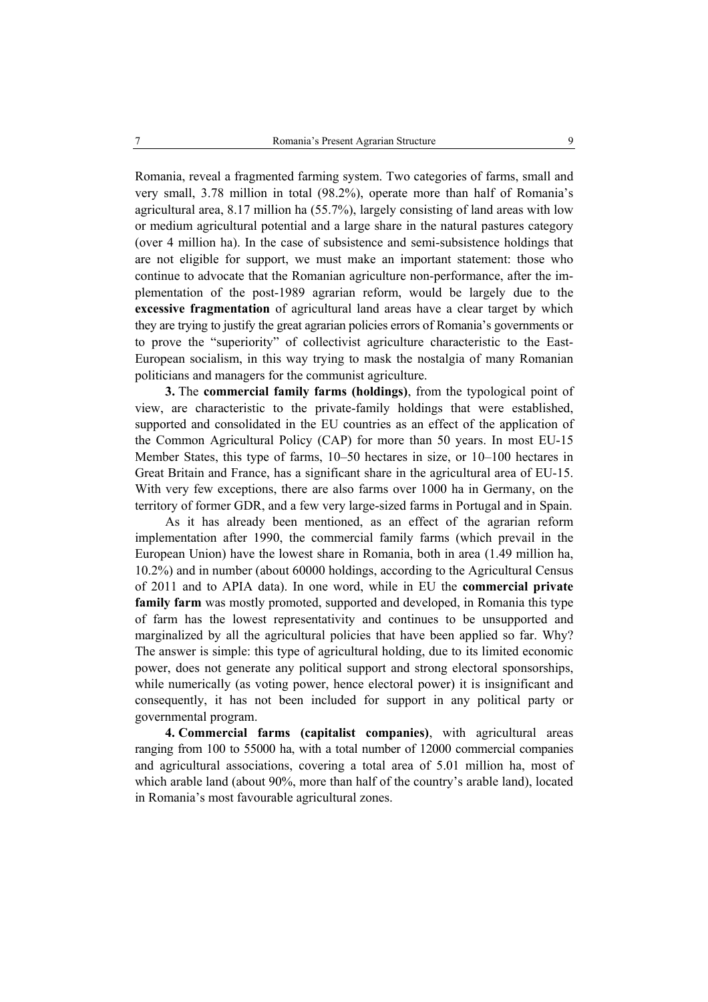Romania, reveal a fragmented farming system. Two categories of farms, small and very small, 3.78 million in total (98.2%), operate more than half of Romania's agricultural area, 8.17 million ha (55.7%), largely consisting of land areas with low or medium agricultural potential and a large share in the natural pastures category (over 4 million ha). In the case of subsistence and semi-subsistence holdings that are not eligible for support, we must make an important statement: those who continue to advocate that the Romanian agriculture non-performance, after the implementation of the post-1989 agrarian reform, would be largely due to the **excessive fragmentation** of agricultural land areas have a clear target by which they are trying to justify the great agrarian policies errors of Romania's governments or to prove the "superiority" of collectivist agriculture characteristic to the East-European socialism, in this way trying to mask the nostalgia of many Romanian politicians and managers for the communist agriculture.

**3.** The **commercial family farms (holdings)**, from the typological point of view, are characteristic to the private-family holdings that were established, supported and consolidated in the EU countries as an effect of the application of the Common Agricultural Policy (CAP) for more than 50 years. In most EU-15 Member States, this type of farms, 10–50 hectares in size, or 10–100 hectares in Great Britain and France, has a significant share in the agricultural area of EU-15. With very few exceptions, there are also farms over 1000 ha in Germany, on the territory of former GDR, and a few very large-sized farms in Portugal and in Spain.

As it has already been mentioned, as an effect of the agrarian reform implementation after 1990, the commercial family farms (which prevail in the European Union) have the lowest share in Romania, both in area (1.49 million ha, 10.2%) and in number (about 60000 holdings, according to the Agricultural Census of 2011 and to APIA data). In one word, while in EU the **commercial private family farm** was mostly promoted, supported and developed, in Romania this type of farm has the lowest representativity and continues to be unsupported and marginalized by all the agricultural policies that have been applied so far. Why? The answer is simple: this type of agricultural holding, due to its limited economic power, does not generate any political support and strong electoral sponsorships, while numerically (as voting power, hence electoral power) it is insignificant and consequently, it has not been included for support in any political party or governmental program.

**4. Commercial farms (capitalist companies)**, with agricultural areas ranging from 100 to 55000 ha, with a total number of 12000 commercial companies and agricultural associations, covering a total area of 5.01 million ha, most of which arable land (about 90%, more than half of the country's arable land), located in Romania's most favourable agricultural zones.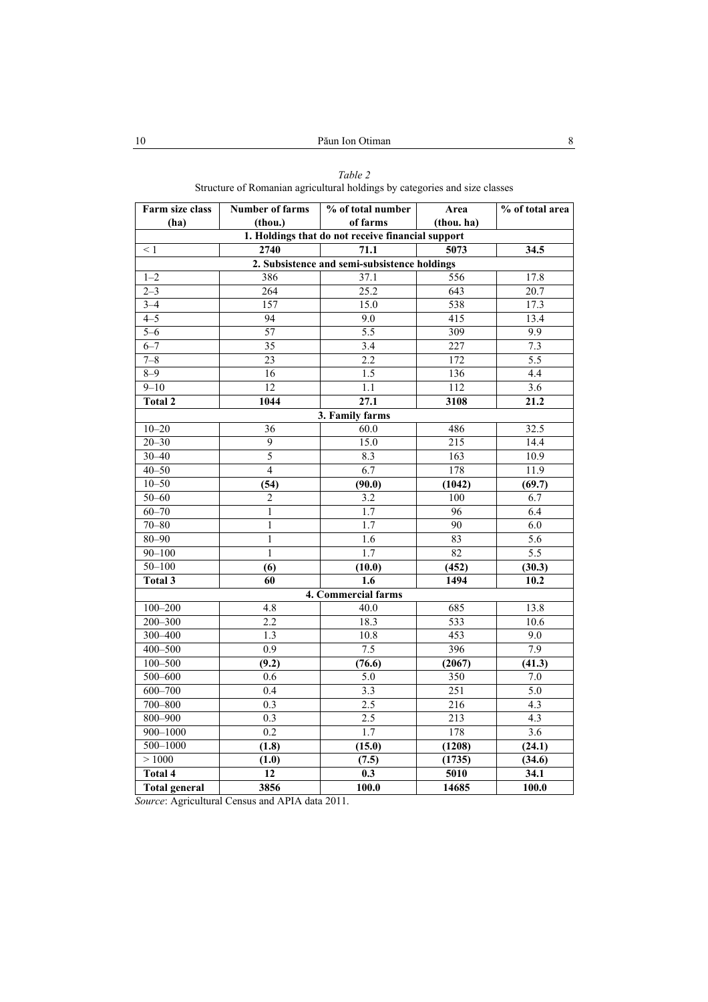| Farm size class                                   | <b>Number of farms</b> | % of total number                            | Area             | % of total area   |  |
|---------------------------------------------------|------------------------|----------------------------------------------|------------------|-------------------|--|
| (ha)                                              | (thou.)                | of farms                                     | (thou. ha)       |                   |  |
| 1. Holdings that do not receive financial support |                        |                                              |                  |                   |  |
| $\leq 1$                                          | 2740                   | 71.1                                         | 5073             | 34.5              |  |
|                                                   |                        | 2. Subsistence and semi-subsistence holdings |                  |                   |  |
| $1 - 2$                                           | 386                    | 37.1                                         | 556              | 17.8              |  |
| $2 - 3$                                           | 264                    | 25.2                                         | 643              | 20.7              |  |
| $3 - 4$                                           | 157                    | 15.0                                         | 538              | 17.3              |  |
| $4 - 5$                                           | 94                     | 9.0                                          | 415              | 13.4              |  |
| $5 - 6$                                           | 57                     | 5.5                                          | 309              | 9.9               |  |
| $6 - 7$                                           | $\overline{35}$        | 3.4                                          | 227              | 7.3               |  |
| $7 - 8$                                           | 23                     | $\overline{2.2}$                             | 172              | 5.5               |  |
| $8 - 9$                                           | $\overline{16}$        | 1.5                                          | 136              | 4.4               |  |
| $\frac{9-10}{ }$                                  | 12                     | 1.1                                          | 112              | 3.6               |  |
| <b>Total 2</b>                                    | 1044                   | 27.1                                         | 3108             | 21.2              |  |
|                                                   |                        | 3. Family farms                              |                  |                   |  |
| $10 - 20$                                         | $\overline{36}$        | 60.0                                         | 486              | 32.5              |  |
| $20 - 30$                                         | 9                      | 15.0                                         | $\overline{215}$ | 14.4              |  |
| $30 - 40$                                         | 5                      | 8.3                                          | 163              | 10.9              |  |
| $40 - 50$                                         | $\overline{4}$         | 6.7                                          | 178              | 11.9              |  |
| $10 - 50$                                         | $\overline{(54)}$      | (90.0)                                       | (1042)           | (69.7)            |  |
| $50 - 60$                                         | $\overline{c}$         | 3.2                                          | 100              | 6.7               |  |
| $60 - 70$                                         | $\mathbf{1}$           | 1.7                                          | $\overline{96}$  | 6.4               |  |
| $70 - 80$                                         | $\overline{1}$         | 1.7                                          | 90               | 6.0               |  |
| $80 - 90$                                         | $\mathbf{1}$           | 1.6                                          | 83               | 5.6               |  |
| $90 - 100$                                        | $\mathbf{1}$           | 1.7                                          | 82               | 5.5               |  |
| $50 - 100$                                        | (6)                    | (10.0)                                       | (452)            | (30.3)            |  |
| <b>Total 3</b>                                    | 60                     | 1.6                                          | 1494             | $\overline{10.2}$ |  |
|                                                   |                        | 4. Commercial farms                          |                  |                   |  |
| $100 - 200$                                       | $\overline{4.8}$       | 40.0                                         | 685              | 13.8              |  |
| $200 - 300$                                       | $2.2^{\circ}$          | 18.3                                         | 533              | 10.6              |  |
| 300-400                                           | $\overline{1.3}$       | 10.8                                         | 453              | $\overline{9.0}$  |  |
| $400 - 500$                                       | 0.9                    | $\overline{7.5}$                             | 396              | $\overline{7.9}$  |  |
| $100 - 500$                                       | (9.2)                  | (76.6)                                       | (2067)           | (41.3)            |  |
| $500 - 600$                                       | 0.6                    | $\overline{5.0}$                             | 350              | $\overline{7.0}$  |  |
| $600 - 700$                                       | 0.4                    | 3.3                                          | 251              | 5.0               |  |
| $700 - 800$                                       | 0.3                    | 2.5                                          | $\overline{216}$ | 4.3               |  |
| $800 - 900$                                       | 0.3                    | 2.5                                          | 213              | 4.3               |  |
| $900 - 1000$                                      | 0.2                    | 1.7                                          | 178              | 3.6               |  |
| $500 - 1000$                                      | (1.8)                  | (15.0)                                       | (1208)           | (24.1)            |  |
| >1000                                             | (1.0)                  | (7.5)                                        | (1735)           | (34.6)            |  |
| <b>Total 4</b>                                    | 12                     | 0.3                                          | 5010             | 34.1              |  |
| <b>Total general</b>                              | 3856                   | 100.0                                        | 14685            | 100.0             |  |

*Table 2*  Structure of Romanian agricultural holdings by categories and size classes

*Source*: Agricultural Census and APIA data 2011.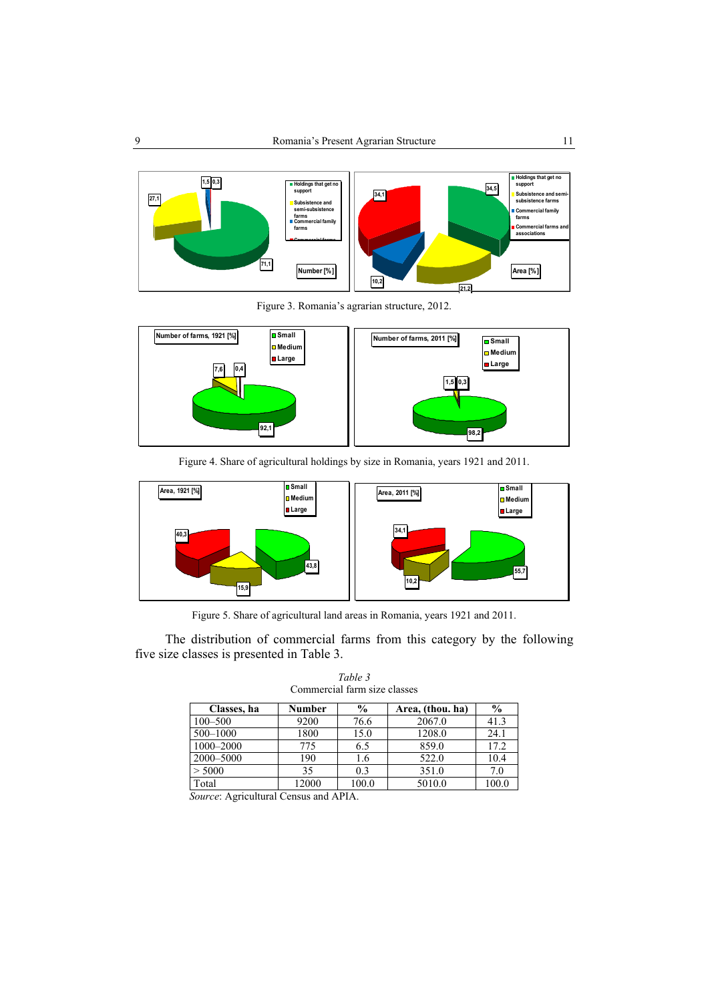

Figure 3. Romania's agrarian structure, 2012.



Figure 4. Share of agricultural holdings by size in Romania, years 1921 and 2011.



Figure 5. Share of agricultural land areas in Romania, years 1921 and 2011.

The distribution of commercial farms from this category by the following five size classes is presented in Table 3.

| Classes, ha  | <b>Number</b> | $\frac{6}{9}$ | Area, (thou. ha) | $\%$  |  |  |
|--------------|---------------|---------------|------------------|-------|--|--|
| $100 - 500$  | 9200          | 76.6          | 2067.0           | 41.3  |  |  |
| $500 - 1000$ | 1800          | 15.0          | 1208.0           | 24.1  |  |  |
| 1000-2000    | 775           | 6.5           | 859.0            | 17.2  |  |  |
| 2000-5000    | 190           | 1.6           | 522.0            | 10.4  |  |  |
| > 5000       | 35            | 0.3           | 351.0            | 7.0   |  |  |
| Total        | 12000         | 100.0         | 5010.0           | 100.0 |  |  |

*Table 3*  Commercial farm size classes

*Source*: Agricultural Census and APIA.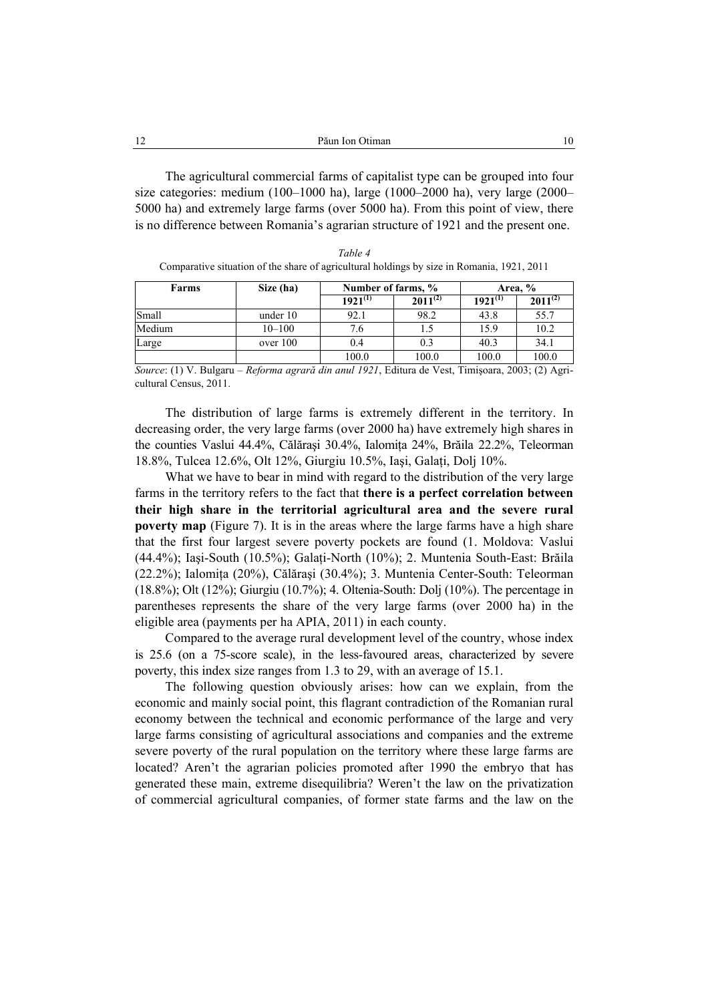The agricultural commercial farms of capitalist type can be grouped into four size categories: medium (100–1000 ha), large (1000–2000 ha), very large (2000– 5000 ha) and extremely large farms (over 5000 ha). From this point of view, there is no difference between Romania's agrarian structure of 1921 and the present one.

| Table 4                                                                                    |
|--------------------------------------------------------------------------------------------|
| Comparative situation of the share of agricultural holdings by size in Romania, 1921, 2011 |

| Farms  | Size (ha)  | Number of farms, % |              | Area, %      |              |
|--------|------------|--------------------|--------------|--------------|--------------|
|        |            | $1921^{(1)}$       | $2011^{(2)}$ | $1921^{(1)}$ | $2011^{(2)}$ |
| Small  | under 10   | 92.1               | 98.2         | 43.8         | 55.7         |
| Medium | $10 - 100$ | 7.6                |              | 15.9         | 10.2         |
| Large  | over 100   | 0.4                | 0.3          | 40.3         | 34.1         |
|        |            | 100.0              | 100.0        | 100.0        | 100.0        |

*Source*: (1) V. Bulgaru – *Reforma agrară din anul 1921*, Editura de Vest, Timişoara, 2003; (2) Agricultural Census, 2011.

The distribution of large farms is extremely different in the territory. In decreasing order, the very large farms (over 2000 ha) have extremely high shares in the counties Vaslui 44.4%, Călărași 30.4%, Ialomița 24%, Brăila 22.2%, Teleorman 18.8%, Tulcea 12.6%, Olt 12%, Giurgiu 10.5%, Iaşi, Galaţi, Dolj 10%.

What we have to bear in mind with regard to the distribution of the very large farms in the territory refers to the fact that **there is a perfect correlation between their high share in the territorial agricultural area and the severe rural poverty map** (Figure 7). It is in the areas where the large farms have a high share that the first four largest severe poverty pockets are found (1. Moldova: Vaslui (44.4%); Iasi-South (10.5%); Galati-North (10%); 2. Muntenia South-East: Brăila (22.2%); Ialomiţa (20%), Călăraşi (30.4%); 3. Muntenia Center-South: Teleorman (18.8%); Olt (12%); Giurgiu (10.7%); 4. Oltenia-South: Dolj (10%). The percentage in parentheses represents the share of the very large farms (over 2000 ha) in the eligible area (payments per ha APIA, 2011) in each county.

Compared to the average rural development level of the country, whose index is 25.6 (on a 75-score scale), in the less-favoured areas, characterized by severe poverty, this index size ranges from 1.3 to 29, with an average of 15.1.

The following question obviously arises: how can we explain, from the economic and mainly social point, this flagrant contradiction of the Romanian rural economy between the technical and economic performance of the large and very large farms consisting of agricultural associations and companies and the extreme severe poverty of the rural population on the territory where these large farms are located? Aren't the agrarian policies promoted after 1990 the embryo that has generated these main, extreme disequilibria? Weren't the law on the privatization of commercial agricultural companies, of former state farms and the law on the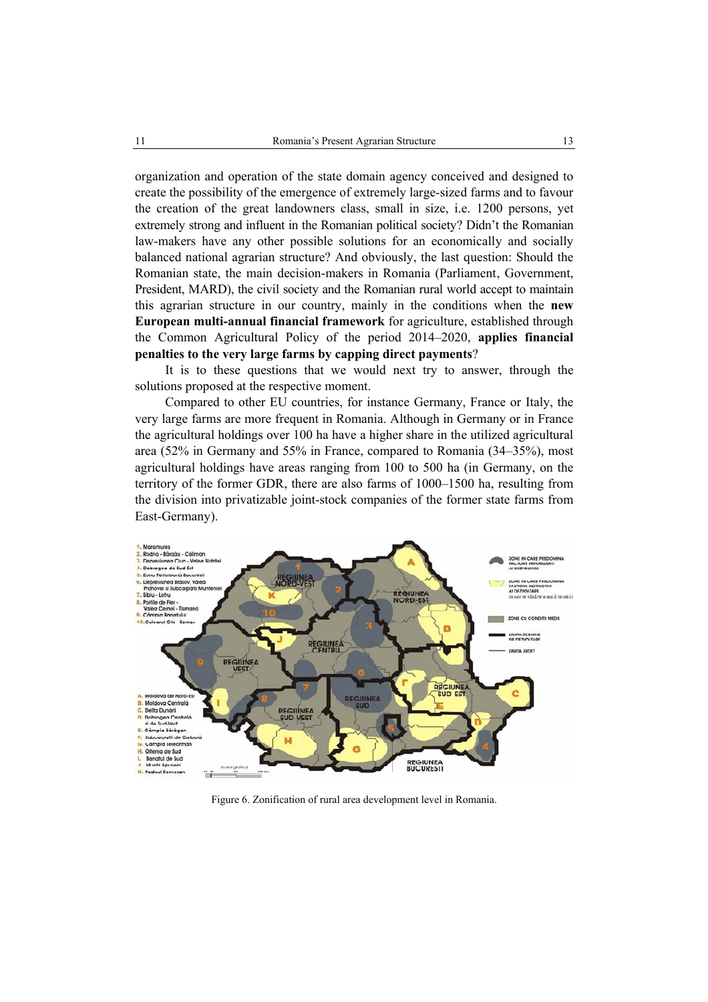organization and operation of the state domain agency conceived and designed to create the possibility of the emergence of extremely large-sized farms and to favour the creation of the great landowners class, small in size, i.e. 1200 persons, yet extremely strong and influent in the Romanian political society? Didn't the Romanian law-makers have any other possible solutions for an economically and socially balanced national agrarian structure? And obviously, the last question: Should the Romanian state, the main decision-makers in Romania (Parliament, Government, President, MARD), the civil society and the Romanian rural world accept to maintain this agrarian structure in our country, mainly in the conditions when the **new European multi-annual financial framework** for agriculture, established through the Common Agricultural Policy of the period 2014–2020, **applies financial penalties to the very large farms by capping direct payments**?

It is to these questions that we would next try to answer, through the solutions proposed at the respective moment.

Compared to other EU countries, for instance Germany, France or Italy, the very large farms are more frequent in Romania. Although in Germany or in France the agricultural holdings over 100 ha have a higher share in the utilized agricultural area (52% in Germany and 55% in France, compared to Romania (34–35%), most agricultural holdings have areas ranging from 100 to 500 ha (in Germany, on the territory of the former GDR, there are also farms of 1000–1500 ha, resulting from the division into privatizable joint-stock companies of the former state farms from East-Germany).



Figure 6. Zonification of rural area development level in Romania.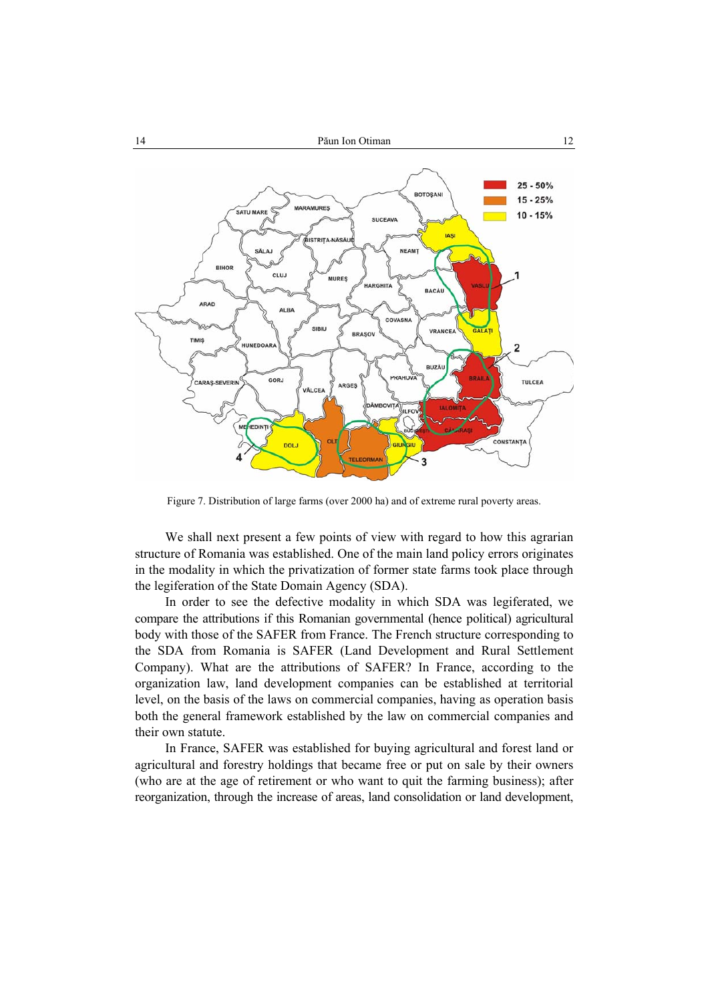

Figure 7. Distribution of large farms (over 2000 ha) and of extreme rural poverty areas.

We shall next present a few points of view with regard to how this agrarian structure of Romania was established. One of the main land policy errors originates in the modality in which the privatization of former state farms took place through the legiferation of the State Domain Agency (SDA).

In order to see the defective modality in which SDA was legiferated, we compare the attributions if this Romanian governmental (hence political) agricultural body with those of the SAFER from France. The French structure corresponding to the SDA from Romania is SAFER (Land Development and Rural Settlement Company). What are the attributions of SAFER? In France, according to the organization law, land development companies can be established at territorial level, on the basis of the laws on commercial companies, having as operation basis both the general framework established by the law on commercial companies and their own statute.

In France, SAFER was established for buying agricultural and forest land or agricultural and forestry holdings that became free or put on sale by their owners (who are at the age of retirement or who want to quit the farming business); after reorganization, through the increase of areas, land consolidation or land development,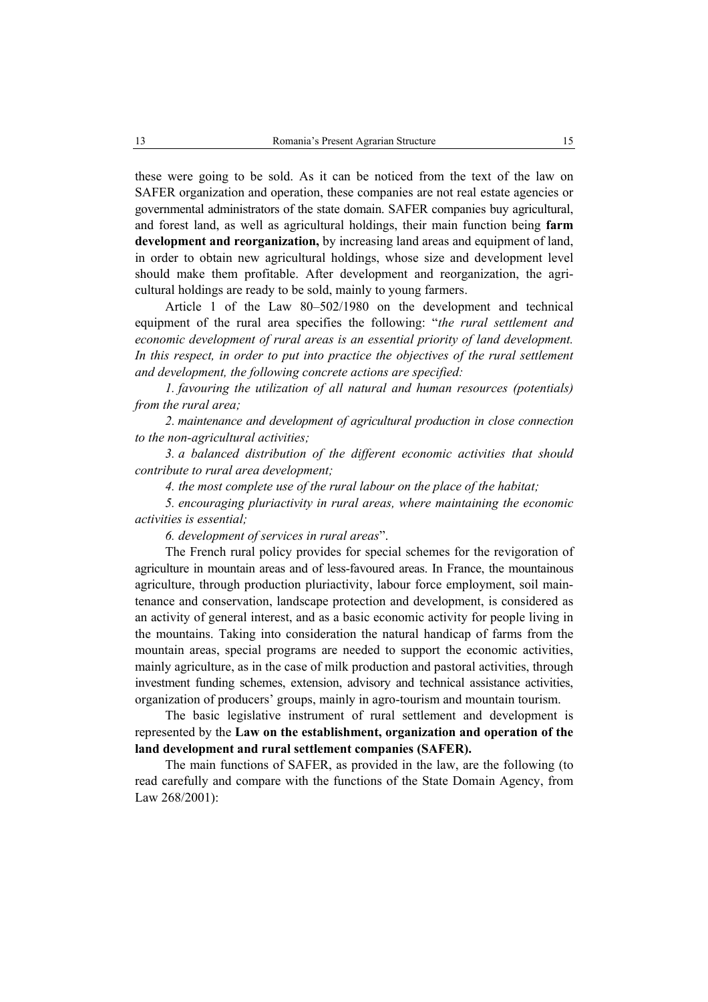these were going to be sold. As it can be noticed from the text of the law on SAFER organization and operation, these companies are not real estate agencies or governmental administrators of the state domain. SAFER companies buy agricultural, and forest land, as well as agricultural holdings, their main function being **farm development and reorganization,** by increasing land areas and equipment of land, in order to obtain new agricultural holdings, whose size and development level should make them profitable. After development and reorganization, the agricultural holdings are ready to be sold, mainly to young farmers.

Article 1 of the Law 80–502/1980 on the development and technical equipment of the rural area specifies the following: "*the rural settlement and economic development of rural areas is an essential priority of land development.*  In this respect, in order to put into practice the objectives of the rural settlement *and development, the following concrete actions are specified:* 

*1. favouring the utilization of all natural and human resources (potentials) from the rural area;* 

*2. maintenance and development of agricultural production in close connection to the non-agricultural activities;* 

*3. a balanced distribution of the different economic activities that should contribute to rural area development;* 

*4. the most complete use of the rural labour on the place of the habitat;* 

*5. encouraging pluriactivity in rural areas, where maintaining the economic activities is essential;* 

*6. development of services in rural areas*".

The French rural policy provides for special schemes for the revigoration of agriculture in mountain areas and of less-favoured areas. In France, the mountainous agriculture, through production pluriactivity, labour force employment, soil maintenance and conservation, landscape protection and development, is considered as an activity of general interest, and as a basic economic activity for people living in the mountains. Taking into consideration the natural handicap of farms from the mountain areas, special programs are needed to support the economic activities, mainly agriculture, as in the case of milk production and pastoral activities, through investment funding schemes, extension, advisory and technical assistance activities, organization of producers' groups, mainly in agro-tourism and mountain tourism.

The basic legislative instrument of rural settlement and development is represented by the **Law on the establishment, organization and operation of the land development and rural settlement companies (SAFER).**

The main functions of SAFER, as provided in the law, are the following (to read carefully and compare with the functions of the State Domain Agency, from Law 268/2001):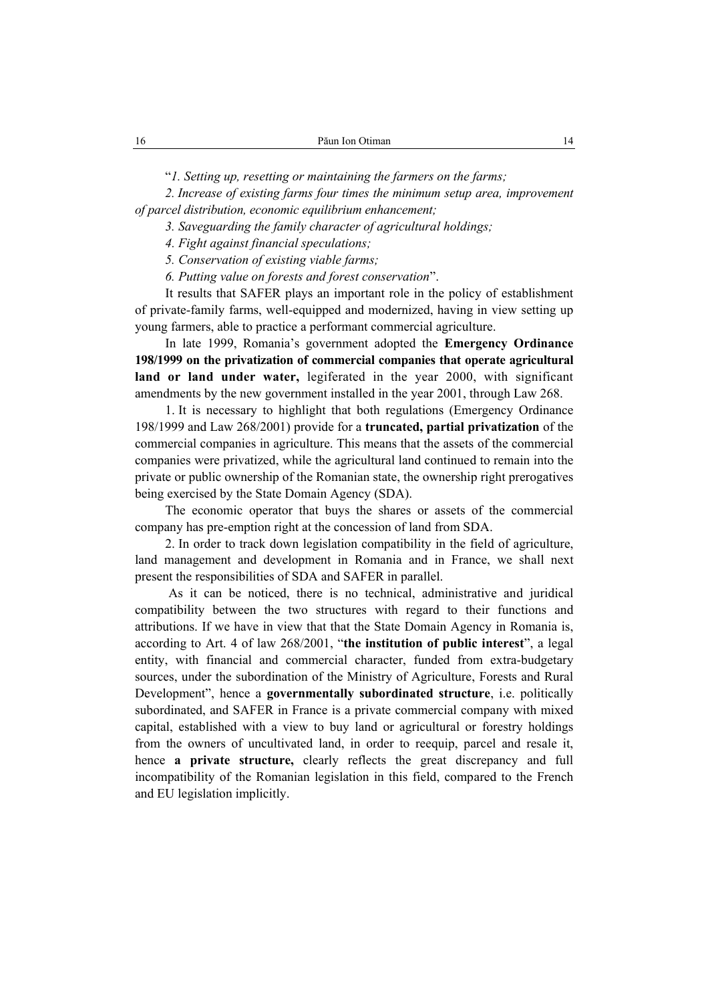"*1. Setting up, resetting or maintaining the farmers on the farms;* 

*2. Increase of existing farms four times the minimum setup area, improvement of parcel distribution, economic equilibrium enhancement;* 

*3. Saveguarding the family character of agricultural holdings;* 

*4. Fight against financial speculations;* 

*5. Conservation of existing viable farms;* 

*6. Putting value on forests and forest conservation*".

It results that SAFER plays an important role in the policy of establishment of private-family farms, well-equipped and modernized, having in view setting up young farmers, able to practice a performant commercial agriculture.

In late 1999, Romania's government adopted the **Emergency Ordinance 198/1999 on the privatization of commercial companies that operate agricultural land or land under water,** legiferated in the year 2000, with significant amendments by the new government installed in the year 2001, through Law 268.

1. It is necessary to highlight that both regulations (Emergency Ordinance 198/1999 and Law 268/2001) provide for a **truncated, partial privatization** of the commercial companies in agriculture. This means that the assets of the commercial companies were privatized, while the agricultural land continued to remain into the private or public ownership of the Romanian state, the ownership right prerogatives being exercised by the State Domain Agency (SDA).

The economic operator that buys the shares or assets of the commercial company has pre-emption right at the concession of land from SDA.

2. In order to track down legislation compatibility in the field of agriculture, land management and development in Romania and in France, we shall next present the responsibilities of SDA and SAFER in parallel.

 As it can be noticed, there is no technical, administrative and juridical compatibility between the two structures with regard to their functions and attributions. If we have in view that that the State Domain Agency in Romania is, according to Art. 4 of law 268/2001, "**the institution of public interest**", a legal entity, with financial and commercial character, funded from extra-budgetary sources, under the subordination of the Ministry of Agriculture, Forests and Rural Development", hence a **governmentally subordinated structure**, i.e. politically subordinated, and SAFER in France is a private commercial company with mixed capital, established with a view to buy land or agricultural or forestry holdings from the owners of uncultivated land, in order to reequip, parcel and resale it, hence **a private structure,** clearly reflects the great discrepancy and full incompatibility of the Romanian legislation in this field, compared to the French and EU legislation implicitly.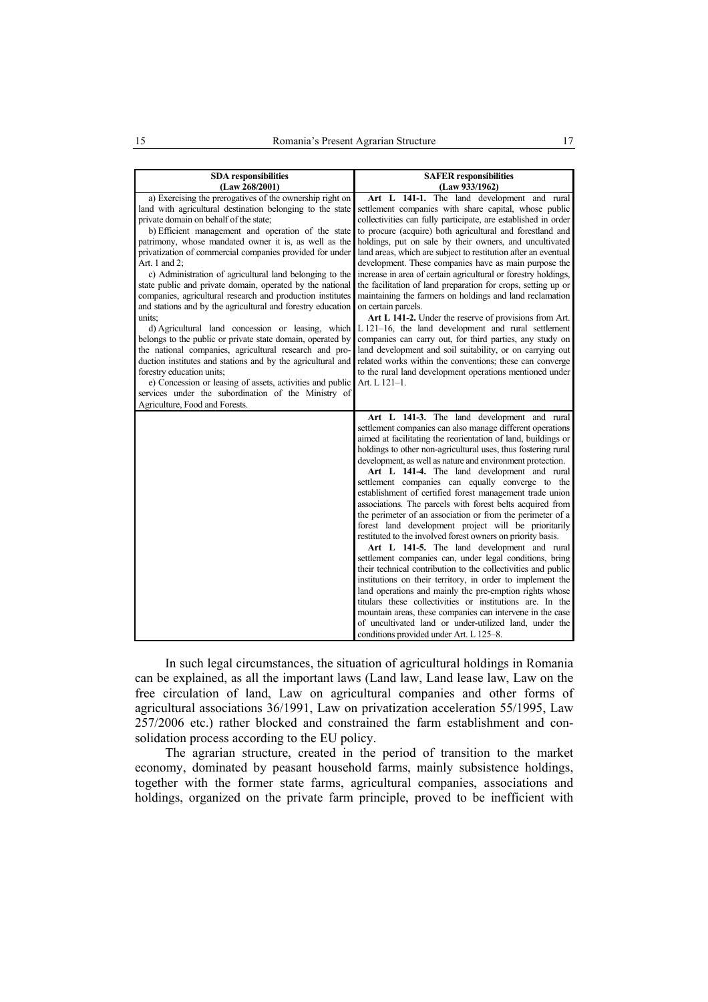| <b>SDA</b> responsibilities<br>(Law 268/2001)                                                                                                                                                                                                                                                                                                                                                                                                                                                                                                                                                                                                                                                                                                                                                                                                                                                                                                                                                                                                                | <b>SAFER</b> responsibilities<br>(Law 933/1962)                                                                                                                                                                                                                                                                                                                                                                                                                                                                                                                                                                                                                                                                                                                                                                                                                                                                                                                                                                                                                                                                                                                                                                                                              |
|--------------------------------------------------------------------------------------------------------------------------------------------------------------------------------------------------------------------------------------------------------------------------------------------------------------------------------------------------------------------------------------------------------------------------------------------------------------------------------------------------------------------------------------------------------------------------------------------------------------------------------------------------------------------------------------------------------------------------------------------------------------------------------------------------------------------------------------------------------------------------------------------------------------------------------------------------------------------------------------------------------------------------------------------------------------|--------------------------------------------------------------------------------------------------------------------------------------------------------------------------------------------------------------------------------------------------------------------------------------------------------------------------------------------------------------------------------------------------------------------------------------------------------------------------------------------------------------------------------------------------------------------------------------------------------------------------------------------------------------------------------------------------------------------------------------------------------------------------------------------------------------------------------------------------------------------------------------------------------------------------------------------------------------------------------------------------------------------------------------------------------------------------------------------------------------------------------------------------------------------------------------------------------------------------------------------------------------|
| a) Exercising the prerogatives of the ownership right on<br>land with agricultural destination belonging to the state<br>private domain on behalf of the state;<br>b) Efficient management and operation of the state<br>patrimony, whose mandated owner it is, as well as the<br>privatization of commercial companies provided for under<br>Art. 1 and $2$ ;<br>c) Administration of agricultural land belonging to the<br>state public and private domain, operated by the national<br>companies, agricultural research and production institutes<br>and stations and by the agricultural and forestry education<br>units;<br>d) Agricultural land concession or leasing, which<br>belongs to the public or private state domain, operated by<br>the national companies, agricultural research and pro-<br>duction institutes and stations and by the agricultural and<br>forestry education units;<br>e) Concession or leasing of assets, activities and public<br>services under the subordination of the Ministry of<br>Agriculture, Food and Forests. | Art L 141-1. The land development and rural<br>settlement companies with share capital, whose public<br>collectivities can fully participate, are established in order<br>to procure (acquire) both agricultural and forestland and<br>holdings, put on sale by their owners, and uncultivated<br>land areas, which are subject to restitution after an eventual<br>development. These companies have as main purpose the<br>increase in area of certain agricultural or forestry holdings,<br>the facilitation of land preparation for crops, setting up or<br>maintaining the farmers on holdings and land reclamation<br>on certain parcels.<br>Art L 141-2. Under the reserve of provisions from Art.<br>L 121-16, the land development and rural settlement<br>companies can carry out, for third parties, any study on<br>land development and soil suitability, or on carrying out<br>related works within the conventions; these can converge<br>to the rural land development operations mentioned under<br>Art. L 121-1.                                                                                                                                                                                                                           |
|                                                                                                                                                                                                                                                                                                                                                                                                                                                                                                                                                                                                                                                                                                                                                                                                                                                                                                                                                                                                                                                              | Art L 141-3. The land development and rural<br>settlement companies can also manage different operations<br>aimed at facilitating the reorientation of land, buildings or<br>holdings to other non-agricultural uses, thus fostering rural<br>development, as well as nature and environment protection.<br>Art L 141-4. The land development and rural<br>settlement companies can equally converge to the<br>establishment of certified forest management trade union<br>associations. The parcels with forest belts acquired from<br>the perimeter of an association or from the perimeter of a<br>forest land development project will be prioritarily<br>restituted to the involved forest owners on priority basis.<br>Art L 141-5. The land development and rural<br>settlement companies can, under legal conditions, bring<br>their technical contribution to the collectivities and public<br>institutions on their territory, in order to implement the<br>land operations and mainly the pre-emption rights whose<br>titulars these collectivities or institutions are. In the<br>mountain areas, these companies can intervene in the case<br>of uncultivated land or under-utilized land, under the<br>conditions provided under Art. L 125-8. |

In such legal circumstances, the situation of agricultural holdings in Romania can be explained, as all the important laws (Land law, Land lease law, Law on the free circulation of land, Law on agricultural companies and other forms of agricultural associations 36/1991, Law on privatization acceleration 55/1995, Law 257/2006 etc.) rather blocked and constrained the farm establishment and consolidation process according to the EU policy.

The agrarian structure, created in the period of transition to the market economy, dominated by peasant household farms, mainly subsistence holdings, together with the former state farms, agricultural companies, associations and holdings, organized on the private farm principle, proved to be inefficient with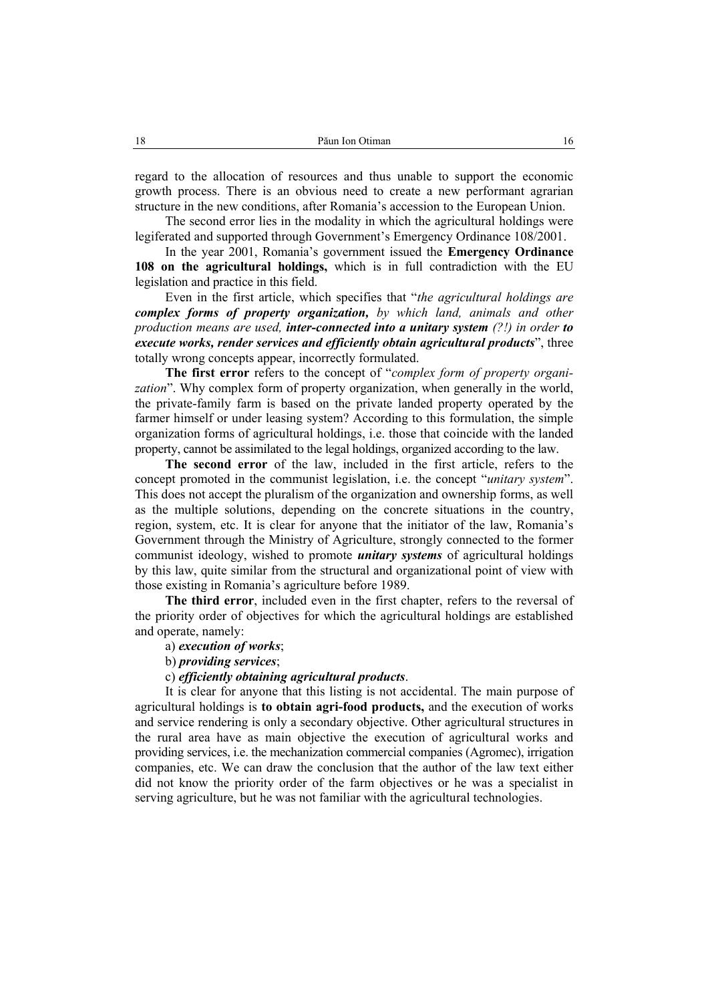regard to the allocation of resources and thus unable to support the economic growth process. There is an obvious need to create a new performant agrarian structure in the new conditions, after Romania's accession to the European Union.

The second error lies in the modality in which the agricultural holdings were legiferated and supported through Government's Emergency Ordinance 108/2001.

In the year 2001, Romania's government issued the **Emergency Ordinance 108 on the agricultural holdings,** which is in full contradiction with the EU legislation and practice in this field.

Even in the first article, which specifies that "*the agricultural holdings are complex forms of property organization, by which land, animals and other production means are used, inter-connected into a unitary system (?!) in order to execute works, render services and efficiently obtain agricultural products*", three totally wrong concepts appear, incorrectly formulated.

**The first error** refers to the concept of "*complex form of property organization*". Why complex form of property organization, when generally in the world, the private-family farm is based on the private landed property operated by the farmer himself or under leasing system? According to this formulation, the simple organization forms of agricultural holdings, i.e. those that coincide with the landed property, cannot be assimilated to the legal holdings, organized according to the law.

**The second error** of the law, included in the first article, refers to the concept promoted in the communist legislation, i.e. the concept "*unitary system*". This does not accept the pluralism of the organization and ownership forms, as well as the multiple solutions, depending on the concrete situations in the country, region, system, etc. It is clear for anyone that the initiator of the law, Romania's Government through the Ministry of Agriculture, strongly connected to the former communist ideology, wished to promote *unitary systems* of agricultural holdings by this law, quite similar from the structural and organizational point of view with those existing in Romania's agriculture before 1989.

**The third error**, included even in the first chapter, refers to the reversal of the priority order of objectives for which the agricultural holdings are established and operate, namely:

- a) *execution of works*;
- b) *providing services*;

### c) *efficiently obtaining agricultural products*.

It is clear for anyone that this listing is not accidental. The main purpose of agricultural holdings is **to obtain agri-food products,** and the execution of works and service rendering is only a secondary objective. Other agricultural structures in the rural area have as main objective the execution of agricultural works and providing services, i.e. the mechanization commercial companies (Agromec), irrigation companies, etc. We can draw the conclusion that the author of the law text either did not know the priority order of the farm objectives or he was a specialist in serving agriculture, but he was not familiar with the agricultural technologies.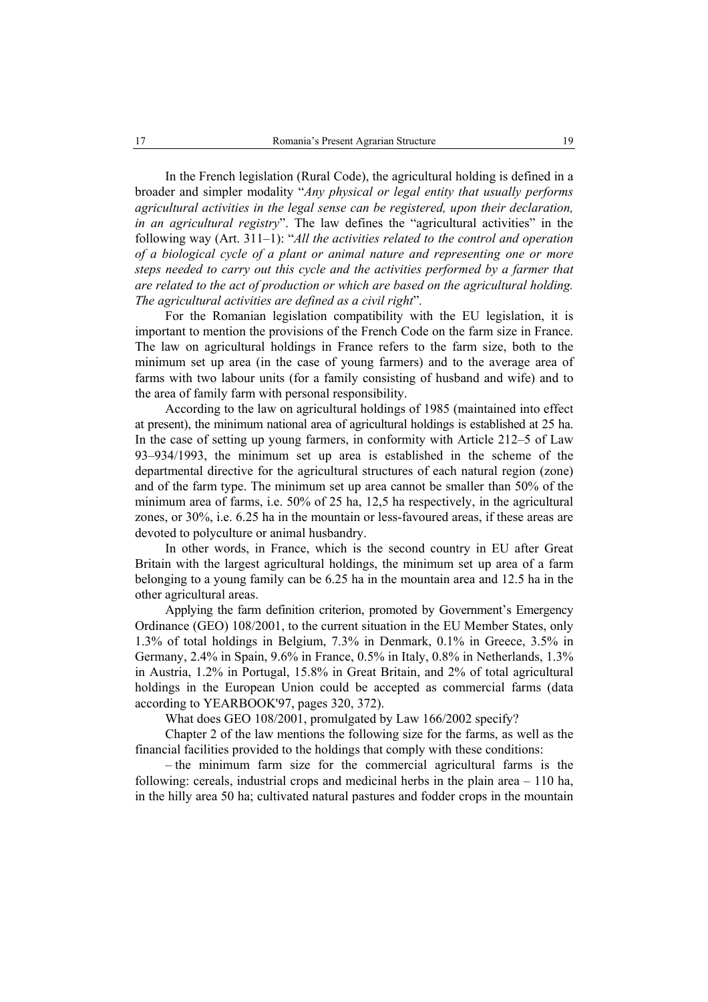In the French legislation (Rural Code), the agricultural holding is defined in a broader and simpler modality "*Any physical or legal entity that usually performs agricultural activities in the legal sense can be registered, upon their declaration, in an agricultural registry*". The law defines the "agricultural activities" in the following way (Art. 311–1): "*All the activities related to the control and operation of a biological cycle of a plant or animal nature and representing one or more steps needed to carry out this cycle and the activities performed by a farmer that are related to the act of production or which are based on the agricultural holding. The agricultural activities are defined as a civil right*"*.*

For the Romanian legislation compatibility with the EU legislation, it is important to mention the provisions of the French Code on the farm size in France. The law on agricultural holdings in France refers to the farm size, both to the minimum set up area (in the case of young farmers) and to the average area of farms with two labour units (for a family consisting of husband and wife) and to the area of family farm with personal responsibility.

According to the law on agricultural holdings of 1985 (maintained into effect at present), the minimum national area of agricultural holdings is established at 25 ha. In the case of setting up young farmers, in conformity with Article 212–5 of Law 93–934/1993, the minimum set up area is established in the scheme of the departmental directive for the agricultural structures of each natural region (zone) and of the farm type. The minimum set up area cannot be smaller than 50% of the minimum area of farms, i.e. 50% of 25 ha, 12,5 ha respectively, in the agricultural zones, or 30%, i.e. 6.25 ha in the mountain or less-favoured areas, if these areas are devoted to polyculture or animal husbandry.

In other words, in France, which is the second country in EU after Great Britain with the largest agricultural holdings, the minimum set up area of a farm belonging to a young family can be 6.25 ha in the mountain area and 12.5 ha in the other agricultural areas.

Applying the farm definition criterion, promoted by Government's Emergency Ordinance (GEO) 108/2001, to the current situation in the EU Member States, only 1.3% of total holdings in Belgium, 7.3% in Denmark, 0.1% in Greece, 3.5% in Germany, 2.4% in Spain, 9.6% in France, 0.5% in Italy, 0.8% in Netherlands, 1.3% in Austria, 1.2% in Portugal, 15.8% in Great Britain, and 2% of total agricultural holdings in the European Union could be accepted as commercial farms (data according to YEARBOOK'97, pages 320, 372).

What does GEO 108/2001, promulgated by Law 166/2002 specify?

Chapter 2 of the law mentions the following size for the farms, as well as the financial facilities provided to the holdings that comply with these conditions:

– the minimum farm size for the commercial agricultural farms is the following: cereals, industrial crops and medicinal herbs in the plain area – 110 ha, in the hilly area 50 ha; cultivated natural pastures and fodder crops in the mountain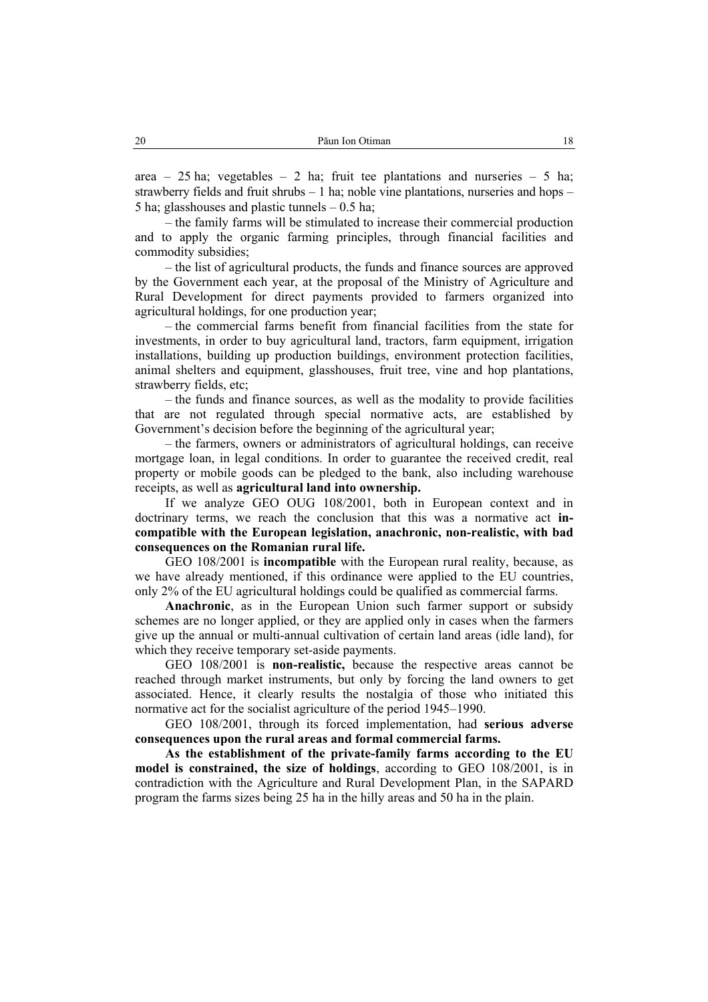area – 25 ha; vegetables – 2 ha; fruit tee plantations and nurseries – 5 ha; strawberry fields and fruit shrubs – 1 ha; noble vine plantations, nurseries and hops – 5 ha; glasshouses and plastic tunnels – 0.5 ha;

– the family farms will be stimulated to increase their commercial production and to apply the organic farming principles, through financial facilities and commodity subsidies;

– the list of agricultural products, the funds and finance sources are approved by the Government each year, at the proposal of the Ministry of Agriculture and Rural Development for direct payments provided to farmers organized into agricultural holdings, for one production year;

– the commercial farms benefit from financial facilities from the state for investments, in order to buy agricultural land, tractors, farm equipment, irrigation installations, building up production buildings, environment protection facilities, animal shelters and equipment, glasshouses, fruit tree, vine and hop plantations, strawberry fields, etc;

– the funds and finance sources, as well as the modality to provide facilities that are not regulated through special normative acts, are established by Government's decision before the beginning of the agricultural year;

– the farmers, owners or administrators of agricultural holdings, can receive mortgage loan, in legal conditions. In order to guarantee the received credit, real property or mobile goods can be pledged to the bank, also including warehouse receipts, as well as **agricultural land into ownership.** 

If we analyze GEO OUG 108/2001, both in European context and in doctrinary terms, we reach the conclusion that this was a normative act **incompatible with the European legislation, anachronic, non-realistic, with bad consequences on the Romanian rural life.** 

GEO 108/2001 is **incompatible** with the European rural reality, because, as we have already mentioned, if this ordinance were applied to the EU countries, only 2% of the EU agricultural holdings could be qualified as commercial farms.

**Anachronic**, as in the European Union such farmer support or subsidy schemes are no longer applied, or they are applied only in cases when the farmers give up the annual or multi-annual cultivation of certain land areas (idle land), for which they receive temporary set-aside payments.

GEO 108/2001 is **non-realistic,** because the respective areas cannot be reached through market instruments, but only by forcing the land owners to get associated. Hence, it clearly results the nostalgia of those who initiated this normative act for the socialist agriculture of the period 1945–1990.

GEO 108/2001, through its forced implementation, had **serious adverse consequences upon the rural areas and formal commercial farms.** 

**As the establishment of the private-family farms according to the EU model is constrained, the size of holdings**, according to GEO 108/2001, is in contradiction with the Agriculture and Rural Development Plan, in the SAPARD program the farms sizes being 25 ha in the hilly areas and 50 ha in the plain.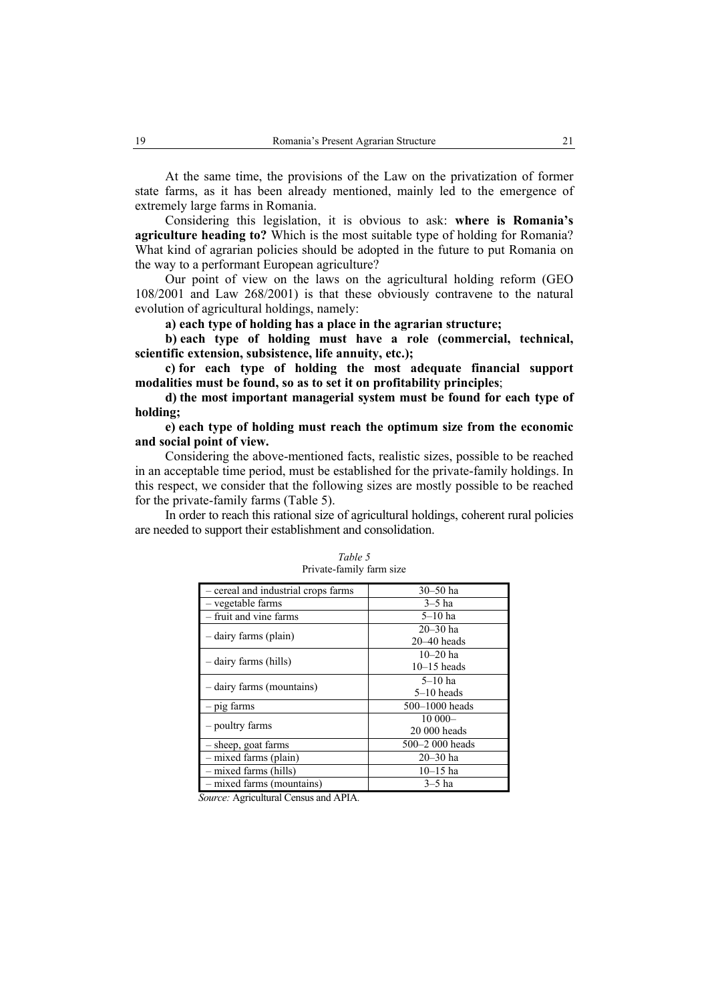At the same time, the provisions of the Law on the privatization of former state farms, as it has been already mentioned, mainly led to the emergence of extremely large farms in Romania.

Considering this legislation, it is obvious to ask: **where is Romania's agriculture heading to?** Which is the most suitable type of holding for Romania? What kind of agrarian policies should be adopted in the future to put Romania on the way to a performant European agriculture?

Our point of view on the laws on the agricultural holding reform (GEO 108/2001 and Law 268/2001) is that these obviously contravene to the natural evolution of agricultural holdings, namely:

**a) each type of holding has a place in the agrarian structure;** 

**b) each type of holding must have a role (commercial, technical, scientific extension, subsistence, life annuity, etc.);** 

**c) for each type of holding the most adequate financial support modalities must be found, so as to set it on profitability principles**;

**d) the most important managerial system must be found for each type of holding;** 

**e) each type of holding must reach the optimum size from the economic and social point of view.**

Considering the above-mentioned facts, realistic sizes, possible to be reached in an acceptable time period, must be established for the private-family holdings. In this respect, we consider that the following sizes are mostly possible to be reached for the private-family farms (Table 5).

In order to reach this rational size of agricultural holdings, coherent rural policies are needed to support their establishment and consolidation.

| cereal and industrial crops farms | $30 - 50$ ha    |
|-----------------------------------|-----------------|
| - vegetable farms                 | $3-5$ ha        |
| – fruit and vine farms            | $5-10$ ha       |
|                                   | $20 - 30$ ha    |
| - dairy farms (plain)             | $20 - 40$ heads |
|                                   | $10 - 20$ ha    |
| – dairy farms (hills)             | $10-15$ heads   |
|                                   | $5 - 10$ ha     |
| - dairy farms (mountains)         | $5-10$ heads    |
| pig farms                         | 500-1000 heads  |
|                                   | $10000 -$       |
| - poultry farms                   | 20 000 heads    |
| - sheep, goat farms               | 500-2 000 heads |
| – mixed farms (plain)             | $20 - 30$ ha    |
| - mixed farms (hills)             | $10 - 15$ ha    |
| mixed farms (mountains)           | $3-5$ ha        |

*Table 5*  Private-family farm size

 *Source:* Agricultural Census and APIA*.*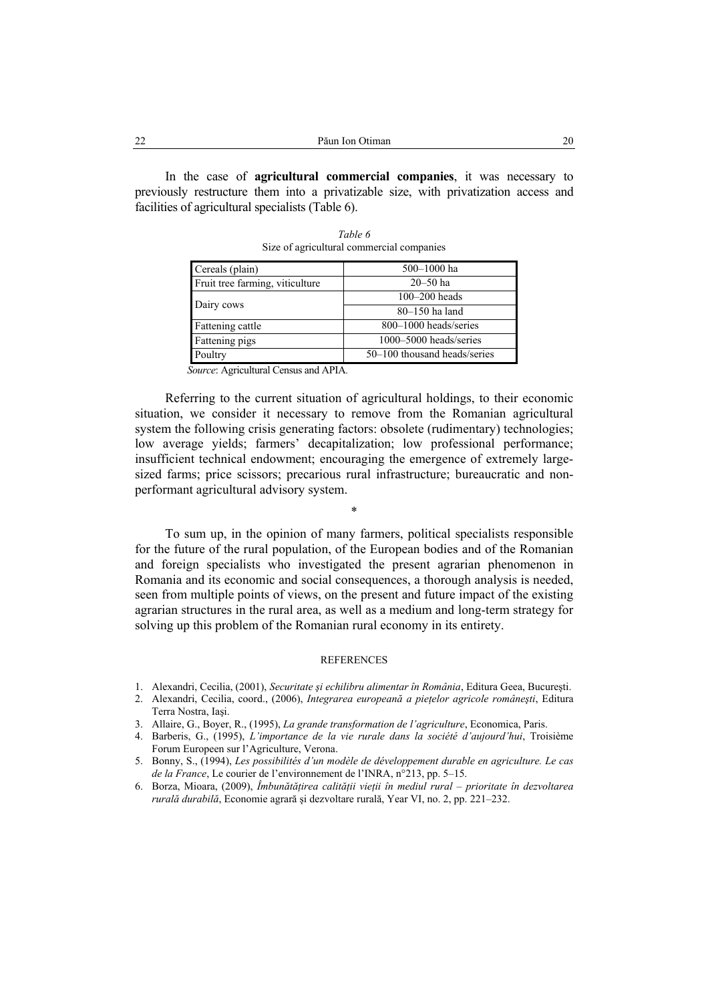In the case of **agricultural commercial companies**, it was necessary to previously restructure them into a privatizable size, with privatization access and facilities of agricultural specialists (Table 6).

| Cereals (plain)                 | 500-1000 ha                  |
|---------------------------------|------------------------------|
| Fruit tree farming, viticulture | $20 - 50$ ha                 |
| Dairy cows                      | $100 - 200$ heads            |
|                                 | $80-150$ ha land             |
| Fattening cattle                | 800-1000 heads/series        |
| Fattening pigs                  | $1000 - 5000$ heads/series   |
| Poultry                         | 50–100 thousand heads/series |

*Table 6*  Size of agricultural commercial companies

 *Source*: Agricultural Census and APIA*.*

Referring to the current situation of agricultural holdings, to their economic situation, we consider it necessary to remove from the Romanian agricultural system the following crisis generating factors: obsolete (rudimentary) technologies; low average yields; farmers' decapitalization; low professional performance; insufficient technical endowment; encouraging the emergence of extremely largesized farms; price scissors; precarious rural infrastructure; bureaucratic and nonperformant agricultural advisory system.

To sum up, in the opinion of many farmers, political specialists responsible for the future of the rural population, of the European bodies and of the Romanian and foreign specialists who investigated the present agrarian phenomenon in Romania and its economic and social consequences, a thorough analysis is needed, seen from multiple points of views, on the present and future impact of the existing agrarian structures in the rural area, as well as a medium and long-term strategy for solving up this problem of the Romanian rural economy in its entirety.

\*

#### **REFERENCES**

- 1. Alexandri, Cecilia, (2001), *Securitate şi echilibru alimentar în România*, Editura Geea, Bucureşti.
- 2. Alexandri, Cecilia, coord., (2006), *Integrarea europeană a pieţelor agricole româneşti*, Editura Terra Nostra, Iaşi.
- 3. Allaire, G., Boyer, R., (1995), *La grande transformation de l'agriculture*, Economica, Paris.
- 4. Barberis, G., (1995), *L'importance de la vie rurale dans la société d'aujourd'hui*, Troisième Forum Europeen sur l'Agriculture, Verona.
- 5. Bonny, S., (1994), *Les possibilités d'un modèle de développement durable en agriculture. Le cas de la France*, Le courier de l'environnement de l'INRA, n°213, pp. 5–15.
- 6. Borza, Mioara, (2009), *Îmbunătăţirea calităţii vieţii în mediul rural prioritate în dezvoltarea rurală durabilă*, Economie agrară şi dezvoltare rurală, Year VI, no. 2, pp. 221–232.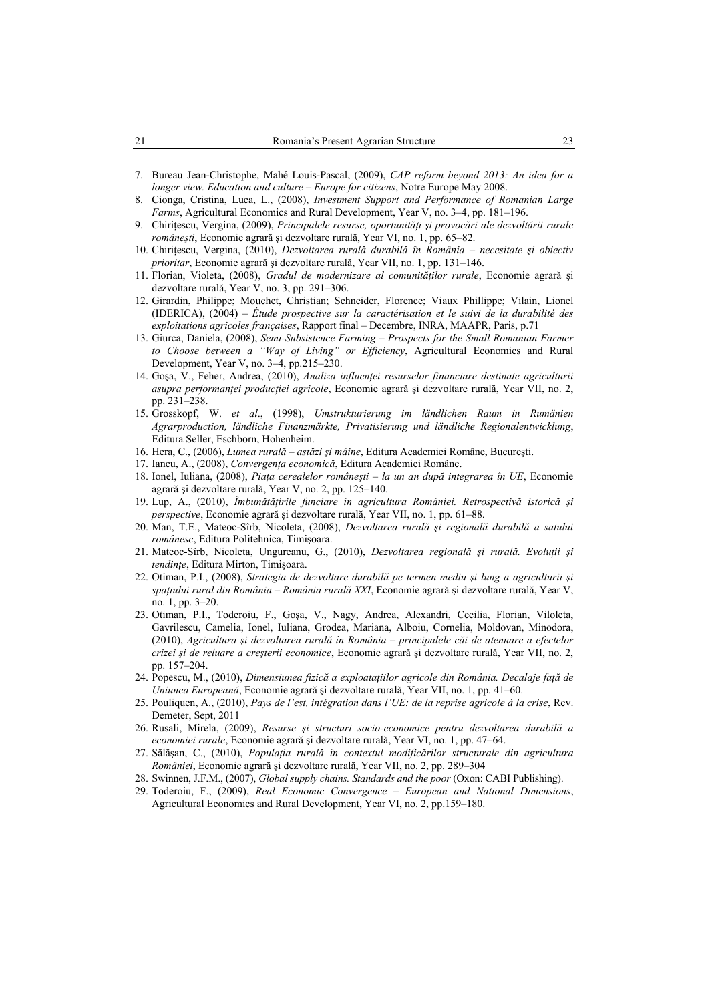- 7. Bureau Jean-Christophe, Mahé Louis-Pascal, (2009), *CAP reform beyond 2013: An idea for a longer view. Education and culture – Europe for citizens*, Notre Europe May 2008.
- 8. Cionga, Cristina, Luca, L., (2008), *Investment Support and Performance of Romanian Large Farms*, Agricultural Economics and Rural Development, Year V, no. 3–4, pp. 181–196.
- 9. Chiriţescu, Vergina, (2009), *Principalele resurse, oportunităţi şi provocări ale dezvoltării rurale româneşti*, Economie agrară şi dezvoltare rurală, Year VI, no. 1, pp. 65–82.
- 10. Chiriţescu, Vergina, (2010), *Dezvoltarea rurală durabilă în România necesitate şi obiectiv prioritar*, Economie agrară şi dezvoltare rurală, Year VII, no. 1, pp. 131–146.
- 11. Florian, Violeta, (2008), *Gradul de modernizare al comunităţilor rurale*, Economie agrară şi dezvoltare rurală, Year V, no. 3, pp. 291–306.
- 12. Girardin, Philippe; Mouchet, Christian; Schneider, Florence; Viaux Phillippe; Vilain, Lionel (IDERICA), (2004) – *Étude prospective sur la caractérisation et le suivi de la durabilité des exploitations agricoles françaises*, Rapport final – Decembre, INRA, MAAPR, Paris, p.71
- 13. Giurca, Daniela, (2008), *Semi-Subsistence Farming Prospects for the Small Romanian Farmer to Choose between a "Way of Living" or Efficiency*, Agricultural Economics and Rural Development, Year V, no. 3–4, pp.215–230.
- 14. Goşa, V., Feher, Andrea, (2010), *Analiza influenţei resurselor financiare destinate agriculturii asupra performanţei producţiei agricole*, Economie agrară şi dezvoltare rurală, Year VII, no. 2, pp. 231–238.
- 15. Grosskopf, W. *et al*., (1998), *Umstrukturierung im ländlichen Raum in Rumänien Agrarproduction, ländliche Finanzmärkte, Privatisierung und ländliche Regionalentwicklung*, Editura Seller, Eschborn, Hohenheim.
- 16. Hera, C., (2006), *Lumea rurală astăzi şi mâine*, Editura Academiei Române, Bucureşti.
- 17. Iancu, A., (2008), *Convergenţa economică*, Editura Academiei Române.
- 18. Ionel, Iuliana, (2008), *Piaţa cerealelor româneşti la un an după integrarea în UE*, Economie agrară şi dezvoltare rurală, Year V, no. 2, pp. 125–140.
- 19. Lup, A., (2010), *Îmbunătăţirile funciare în agricultura României. Retrospectivă istorică şi perspective*, Economie agrară şi dezvoltare rurală, Year VII, no. 1, pp. 61–88.
- 20. Man, T.E., Mateoc-Sîrb, Nicoleta, (2008), *Dezvoltarea rurală şi regională durabilă a satului românesc*, Editura Politehnica, Timişoara.
- 21. Mateoc-Sîrb, Nicoleta, Ungureanu, G., (2010), *Dezvoltarea regională şi rurală. Evoluţii şi tendinţe*, Editura Mirton, Timişoara.
- 22. Otiman, P.I., (2008), *Strategia de dezvoltare durabilă pe termen mediu şi lung a agriculturii şi spaţiului rural din România – România rurală XXI*, Economie agrară şi dezvoltare rurală, Year V, no. 1, pp. 3–20.
- 23. Otiman, P.I., Toderoiu, F., Goşa, V., Nagy, Andrea, Alexandri, Cecilia, Florian, Viloleta, Gavrilescu, Camelia, Ionel, Iuliana, Grodea, Mariana, Alboiu, Cornelia, Moldovan, Minodora, (2010), *Agricultura şi dezvoltarea rurală în România – principalele căi de atenuare a efectelor crizei şi de reluare a creşterii economice*, Economie agrară şi dezvoltare rurală, Year VII, no. 2, pp. 157–204.
- 24. Popescu, M., (2010), *Dimensiunea fizică a exploataţiilor agricole din România. Decalaje faţă de Uniunea Europeană*, Economie agrară şi dezvoltare rurală, Year VII, no. 1, pp. 41–60.
- 25. Pouliquen, A., (2010), *Pays de l'est, intégration dans l'UE: de la reprise agricole à la crise*, Rev. Demeter, Sept, 2011
- 26. Rusali, Mirela, (2009), *Resurse şi structuri socio-economice pentru dezvoltarea durabilă a economiei rurale*, Economie agrară şi dezvoltare rurală, Year VI, no. 1, pp. 47–64.
- 27. Sălăşan, C., (2010), *Populaţia rurală în contextul modificărilor structurale din agricultura României*, Economie agrară şi dezvoltare rurală, Year VII, no. 2, pp. 289–304
- 28. Swinnen, J.F.M., (2007), *Global supply chains. Standards and the poor* (Oxon: CABI Publishing).
- 29. Toderoiu, F., (2009), *Real Economic Convergence European and National Dimensions*, Agricultural Economics and Rural Development, Year VI, no. 2, pp.159–180.